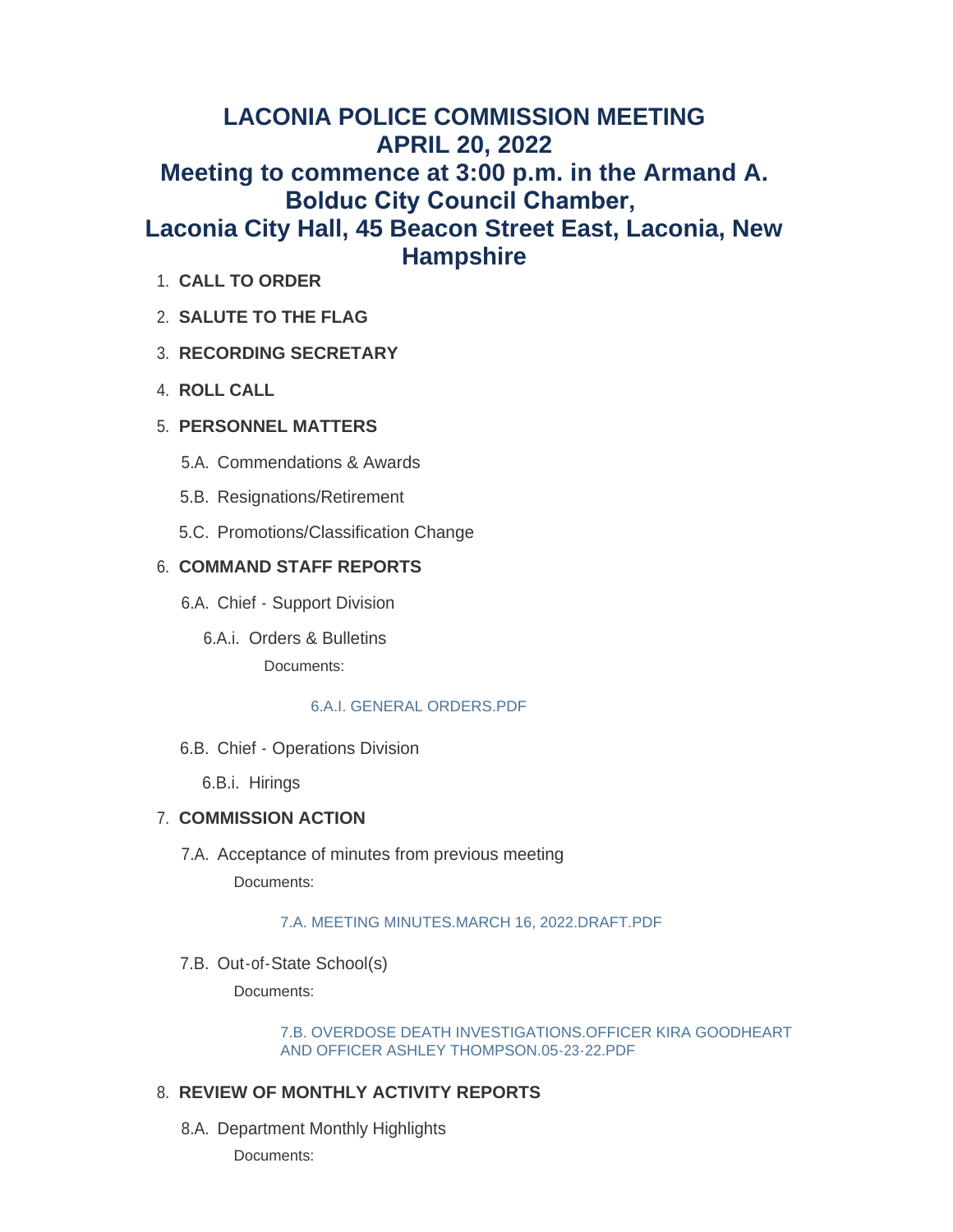# **LACONIA POLICE COMMISSION MEETING APRIL 20, 2022 Meeting to commence at 3:00 p.m. in the Armand A. Bolduc City Council Chamber, Laconia City Hall, 45 Beacon Street East, Laconia, New Hampshire**

- **CALL TO ORDER** 1.
- **SALUTE TO THE FLAG** 2.

# **RECORDING SECRETARY** 3.

**ROLL CALL** 4.

# **PERSONNEL MATTERS** 5.

- 5.A. Commendations & Awards
- 5.B. Resignations/Retirement
- 5.C. Promotions/Classification Change

# **COMMAND STAFF REPORTS** 6.

- 6.A. Chief Support Division
	- 6.A.i. Orders & Bulletins Documents:

## [6.A.I. GENERAL ORDERS.PDF](https://www.laconianh.gov/AgendaCenter/ViewFile/Item/20298?fileID=43304)

6.B. Chief - Operations Division

6.B.i. Hirings

# **COMMISSION ACTION** 7.

7.A. Acceptance of minutes from previous meeting Documents:

## [7.A. MEETING MINUTES.MARCH 16, 2022.DRAFT.PDF](https://www.laconianh.gov/AgendaCenter/ViewFile/Item/20299?fileID=43305)

7.B. Out-of-State School(s)

Documents:

[7.B. OVERDOSE DEATH INVESTIGATIONS.OFFICER KIRA GOODHEART](https://www.laconianh.gov/AgendaCenter/ViewFile/Item/20300?fileID=43307)  AND OFFICER ASHLEY THOMPSON.05-23-22.PDF

## **REVIEW OF MONTHLY ACTIVITY REPORTS** 8.

8.A. Department Monthly Highlights

Documents: